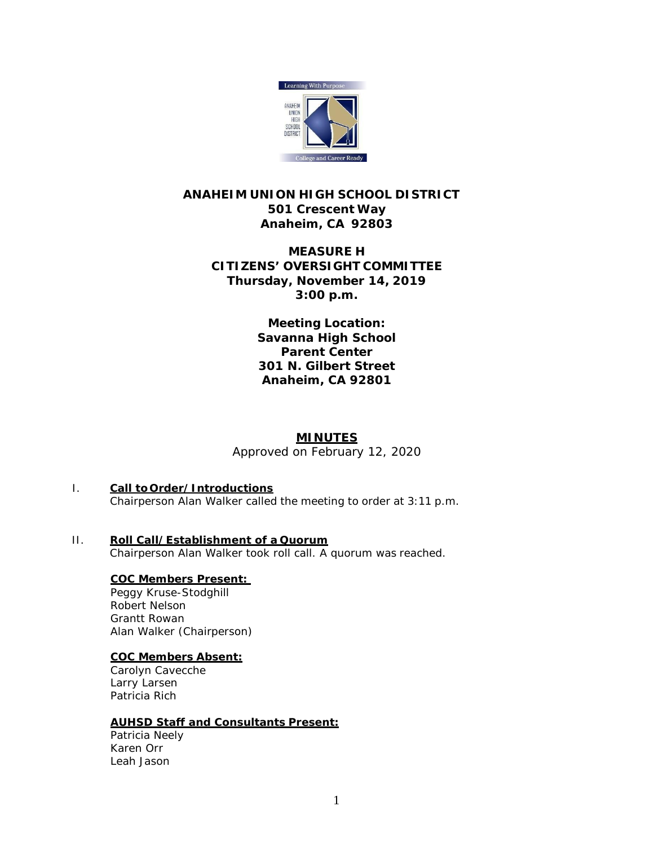

# **ANAHEIM UNION HIGH SCHOOL DISTRICT 501 Crescent Way Anaheim, CA 92803**

## **MEASURE H CITIZENS' OVERSIGHT COMMITTEE Thursday, November 14, 2019 3:00 p.m.**

**Meeting Location: Savanna High School Parent Center 301 N. Gilbert Street Anaheim, CA 92801**

# **MINUTES**

*Approved on February 12, 2020*

#### I. **Call to Order/Introductions** Chairperson Alan Walker called the meeting to order at 3:11 p.m.

- 
- II. **Roll Call/Establishment of a Quorum** Chairperson Alan Walker took roll call. A quorum was reached.

## **COC Members Present:**

Peggy Kruse-Stodghill Robert Nelson Grantt Rowan Alan Walker (Chairperson)

## **COC Members Absent:**

Carolyn Cavecche Larry Larsen Patricia Rich

## **AUHSD Staff and Consultants Present:**

Patricia Neely Karen Orr Leah Jason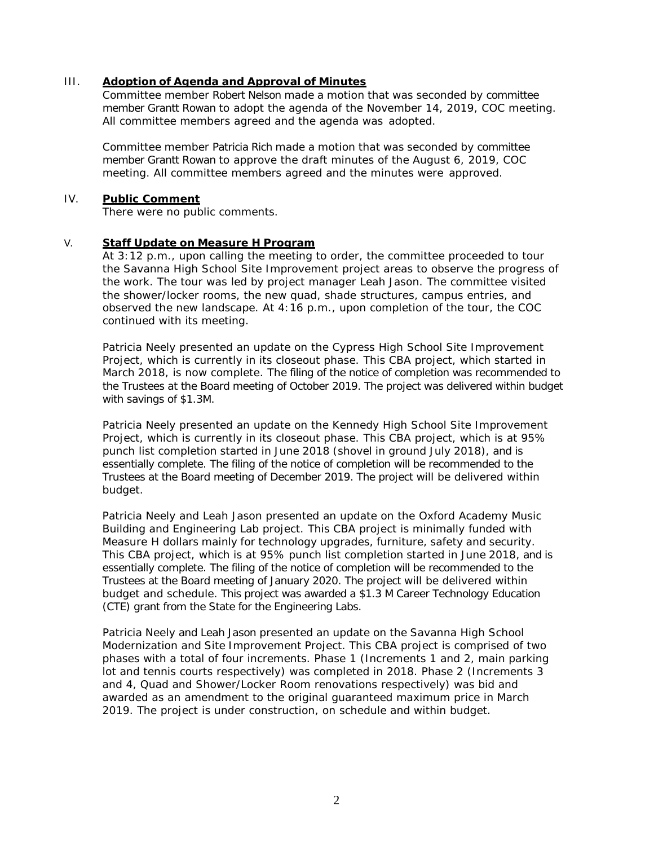### III. **Adoption of Agenda and Approval of Minutes**

Committee member Robert Nelson made a motion that was seconded by committee member Grantt Rowan to adopt the agenda of the November 14, 2019, COC meeting. All committee members agreed and the agenda was adopted.

Committee member Patricia Rich made a motion that was seconded by committee member Grantt Rowan to approve the draft minutes of the August 6, 2019, COC meeting. All committee members agreed and the minutes were approved.

#### IV. **Public Comment**

There were no public comments.

## V. **Staff Update on Measure H Program**

At 3:12 p.m., upon calling the meeting to order, the committee proceeded to tour the Savanna High School Site Improvement project areas to observe the progress of the work. The tour was led by project manager Leah Jason. The committee visited the shower/locker rooms, the new quad, shade structures, campus entries, and observed the new landscape. At 4:16 p.m., upon completion of the tour, the COC continued with its meeting.

Patricia Neely presented an update on the Cypress High School Site Improvement Project, which is currently in its closeout phase. This CBA project, which started in March 2018, is now complete. The filing of the notice of completion was recommended to the Trustees at the Board meeting of October 2019. The project was delivered within budget with savings of \$1.3M.

Patricia Neely presented an update on the Kennedy High School Site Improvement Project, which is currently in its closeout phase. This CBA project, which is at 95% punch list completion started in June 2018 (shovel in ground July 2018), and is essentially complete. The filing of the notice of completion will be recommended to the Trustees at the Board meeting of December 2019. The project will be delivered within budget.

Patricia Neely and Leah Jason presented an update on the Oxford Academy Music Building and Engineering Lab project. This CBA project is minimally funded with Measure H dollars mainly for technology upgrades, furniture, safety and security. This CBA project, which is at 95% punch list completion started in June 2018, and is essentially complete. The filing of the notice of completion will be recommended to the Trustees at the Board meeting of January 2020. The project will be delivered within budget and schedule. This project was awarded a \$1.3 M Career Technology Education (CTE) grant from the State for the Engineering Labs.

Patricia Neely and Leah Jason presented an update on the Savanna High School Modernization and Site Improvement Project. This CBA project is comprised of two phases with a total of four increments. Phase 1 (Increments 1 and 2, main parking lot and tennis courts respectively) was completed in 2018. Phase 2 (Increments 3 and 4, Quad and Shower/Locker Room renovations respectively) was bid and awarded as an amendment to the original guaranteed maximum price in March 2019. The project is under construction, on schedule and within budget.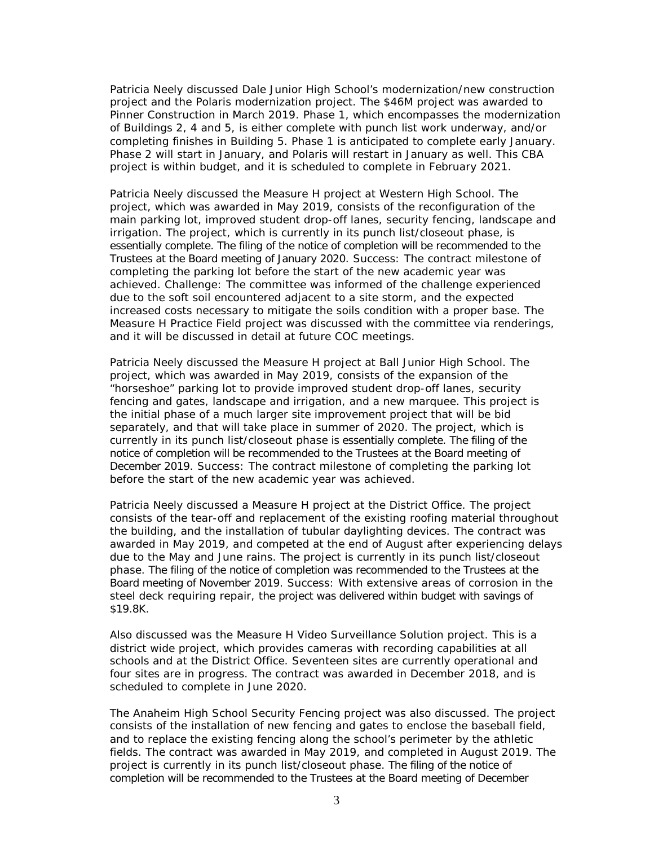Patricia Neely discussed Dale Junior High School's modernization/new construction project and the Polaris modernization project. The \$46M project was awarded to Pinner Construction in March 2019. Phase 1, which encompasses the modernization of Buildings 2, 4 and 5, is either complete with punch list work underway, and/or completing finishes in Building 5. Phase 1 is anticipated to complete early January. Phase 2 will start in January, and Polaris will restart in January as well. This CBA project is within budget, and it is scheduled to complete in February 2021.

Patricia Neely discussed the Measure H project at Western High School. The project, which was awarded in May 2019, consists of the reconfiguration of the main parking lot, improved student drop-off lanes, security fencing, landscape and irrigation. The project, which is currently in its punch list/closeout phase, is essentially complete. The filing of the notice of completion will be recommended to the Trustees at the Board meeting of January 2020. Success: The contract milestone of completing the parking lot before the start of the new academic year was achieved. Challenge: The committee was informed of the challenge experienced due to the soft soil encountered adjacent to a site storm, and the expected increased costs necessary to mitigate the soils condition with a proper base. The Measure H Practice Field project was discussed with the committee via renderings, and it will be discussed in detail at future COC meetings.

Patricia Neely discussed the Measure H project at Ball Junior High School. The project, which was awarded in May 2019, consists of the expansion of the "horseshoe" parking lot to provide improved student drop-off lanes, security fencing and gates, landscape and irrigation, and a new marquee. This project is the initial phase of a much larger site improvement project that will be bid separately, and that will take place in summer of 2020. The project, which is currently in its punch list/closeout phase is essentially complete. The filing of the notice of completion will be recommended to the Trustees at the Board meeting of December 2019. Success: The contract milestone of completing the parking lot before the start of the new academic year was achieved.

Patricia Neely discussed a Measure H project at the District Office. The project consists of the tear-off and replacement of the existing roofing material throughout the building, and the installation of tubular daylighting devices. The contract was awarded in May 2019, and competed at the end of August after experiencing delays due to the May and June rains. The project is currently in its punch list/closeout phase. The filing of the notice of completion was recommended to the Trustees at the Board meeting of November 2019. Success: With extensive areas of corrosion in the steel deck requiring repair, the project was delivered within budget with savings of \$19.8K.

Also discussed was the Measure H Video Surveillance Solution project. This is a district wide project, which provides cameras with recording capabilities at all schools and at the District Office. Seventeen sites are currently operational and four sites are in progress. The contract was awarded in December 2018, and is scheduled to complete in June 2020.

The Anaheim High School Security Fencing project was also discussed. The project consists of the installation of new fencing and gates to enclose the baseball field, and to replace the existing fencing along the school's perimeter by the athletic fields. The contract was awarded in May 2019, and completed in August 2019. The project is currently in its punch list/closeout phase. The filing of the notice of completion will be recommended to the Trustees at the Board meeting of December